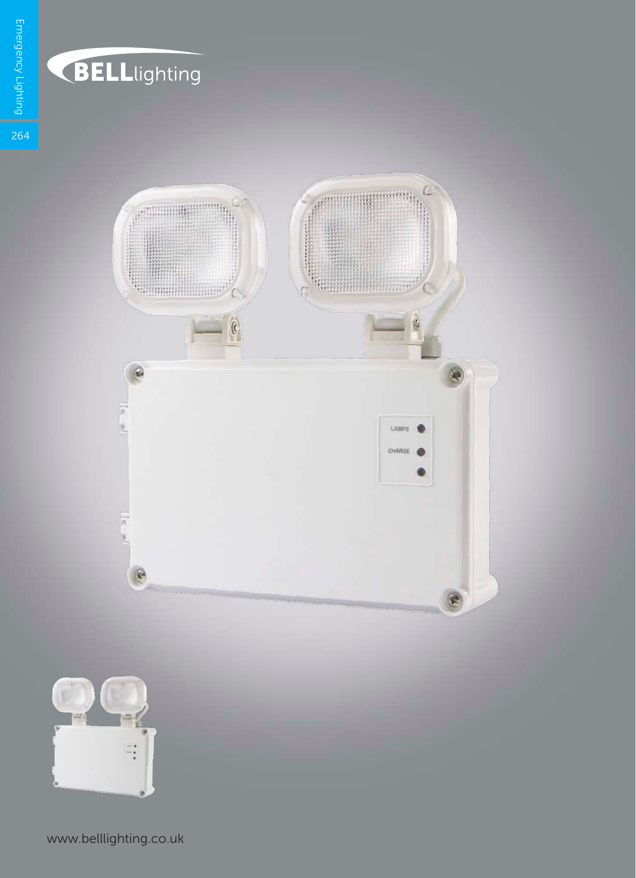

www.belllighting.co.uk